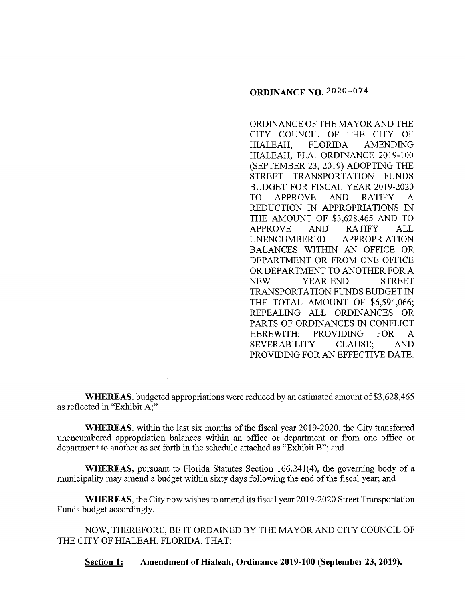ORDINANCE OF THE MAYOR AND THE CITY COUNCIL OF THE CITY OF HIALEAH, FLORIDA AMENDING HIALEAH, FLA. ORDINANCE 2019-100 (SEPTEMBER 23, 2019) ADOPTING THE STREET TRANSPORTATION FUNDS BUDGET FOR FISCAL YEAR 2019-2020 TO APPROVE AND RATIFY A REDUCTION IN APPROPRIATIONS IN THE AMOUNT OF \$3,628,465 AND TO APPROVE AND RATIFY ALL UNENCUMBERED APPROPRIATION BALANCES WITHIN AN OFFICE OR DEPARTMENT OR FROM ONE OFFICE OR DEPARTMENT TO ANOTHER FOR A NEW YEAR-END STREET TRANSPORTATION FUNDS BUDGET IN THE TOTAL AMOUNT OF \$6,594,066; REPEALING ALL ORDINANCES OR PARTS OF ORDINANCES IN CONFLICT HEREWITH; PROVIDING FOR A SEVERABILITY CLAUSE; AND PROVIDING FOR AN EFFECTIVE DATE.

**WHEREAS,** budgeted appropriations were reduced by an estimated amount of \$3,628,465 as reflected in "Exhibit A;"

**WHEREAS,** within the last six months of the fiscal year 2019-2020, the City transferred unencumbered appropriation balances within an office or department or from one office or department to another as set forth in the schedule attached as "Exhibit B"; and

**WHEREAS,** pursuant to Florida Statutes Section 166.241(4), the governing body of a municipality may amend a budget within sixty days following the end of the fiscal year; and

**WHEREAS,** the City now wishes to amend its fiscal year 2019-2020 Street Transportation Funds budget accordingly.

NOW, THEREFORE, BE IT ORDAINED BY THE MAYOR AND CITY COUNCIL OF THE CITY OF HIALEAH, FLORIDA, THAT:

**Section 1: Amendment of Hialeah, Ordinance 2019-100 (September 23, 2019).**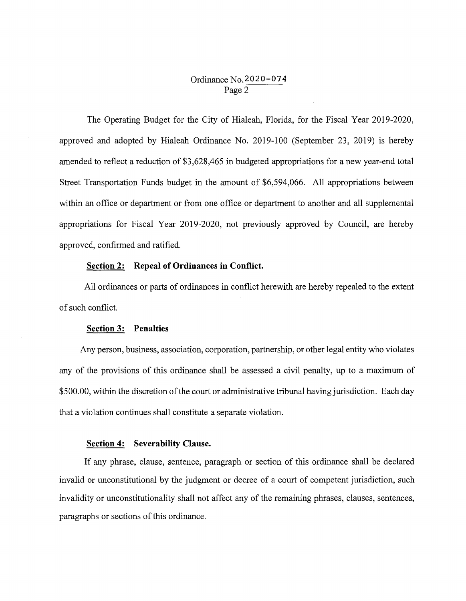# Ordinance No.2020-074 Page 2

The Operating Budget for the City of Hialeah, Florida, for the Fiscal Year 2019-2020, approved and adopted by Hialeah Ordinance No. 2019-100 (September 23, 2019) is hereby amended to reflect a reduction of \$3,628,465 in budgeted appropriations for a new year-end total Street Transportation Funds budget in the amount of \$6,594,066. All appropriations between within an office or department or from one office or department to another and all supplemental appropriations for Fiscal Year 2019-2020, not previously approved by Council, are hereby approved, confirmed and ratified.

## **Section 2: Repeal of Ordinances in Conflict.**

All ordinances or parts of ordinances in conflict herewith are hereby repealed to the extent of such conflict.

### **Section 3: Penalties**

Any person, business, association, corporation, partnership, or other legal entity who violates any of the provisions of this ordinance shall be assessed a civil penalty, up to a maximum of \$500.00, within the discretion of the court or administrative tribunal having jurisdiction. Each day that a violation continues shall constitute a separate violation.

#### **Section 4: Severability Clause.**

If any phrase, clause, sentence, paragraph or section of this ordinance shall be declared invalid or unconstitutional by the judgment or decree of a court of competent jurisdiction, such invalidity or unconstitutionality shall not affect any of the remaining phrases, clauses, sentences, paragraphs or sections of this ordinance.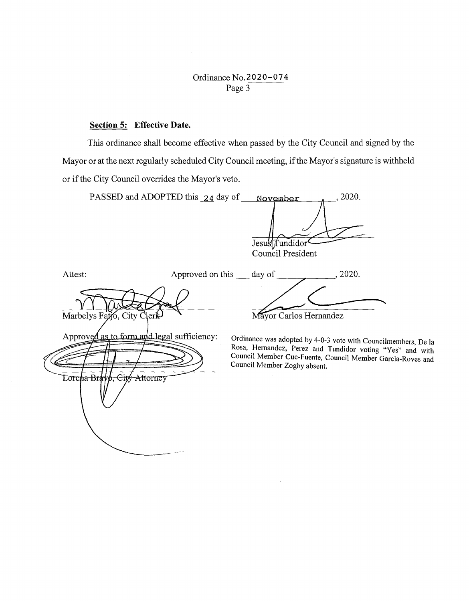Ordinance No.2020-074 Page  $3$ 

# **Section 5: Effective Date.**

This ordinance shall become effective when passed by the City Council and signed by the Mayor or at the next regularly scheduled City Council meeting, if the Mayor's signature is withheld or if the City Council overrides the Mayor's veto.

| PASSED and ADOPTED this 24 day of                                                                       | , 2020.<br>November                                                                                                                                                                                                                                 |
|---------------------------------------------------------------------------------------------------------|-----------------------------------------------------------------------------------------------------------------------------------------------------------------------------------------------------------------------------------------------------|
|                                                                                                         | Jesu's[ <i>T</i> undidor<br>Council President                                                                                                                                                                                                       |
| Approved on this day of<br>Attest:                                                                      | 2020.                                                                                                                                                                                                                                               |
| Marbelys Fatjo, City Clerk<br>Approved as to form and legal sufficiency:<br>Lorena Bravø, City Attorney | Mayor Carlos Hernandez<br>Ordinance was adopted by 4-0-3 vote with Councilmembers, De la<br>Rosa, Hernandez, Perez and Tundidor voting "Yes" and with<br>Council Member Cue-Fuente, Council Member Garcia-Roves and<br>Council Member Zogby absent. |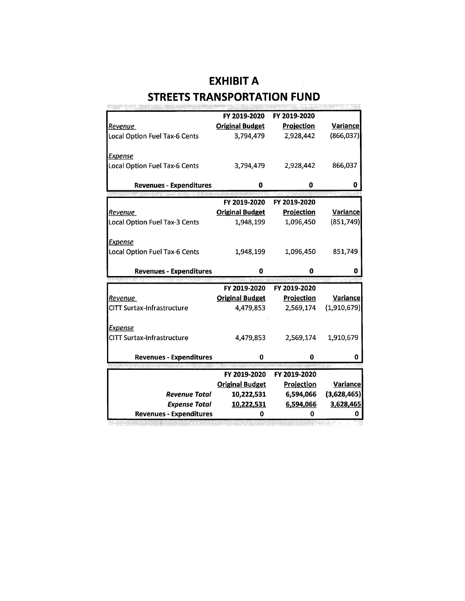# **EXHIBIT A STREETS TRANSPORTATION FUND**

 $\sim 10^{-1}$ 

|                                   | FY 2019-2020           | FY 2019-2020      |                 |
|-----------------------------------|------------------------|-------------------|-----------------|
| Revenue                           | <b>Original Budget</b> | <b>Projection</b> | <b>Variance</b> |
|                                   |                        |                   |                 |
| Local Option Fuel Tax-6 Cents     | 3,794,479              | 2,928,442         | (866, 037)      |
|                                   |                        |                   |                 |
| <u>Expense</u>                    |                        |                   |                 |
| Local Option Fuel Tax-6 Cents     | 3,794,479              | 2,928,442         | 866,037         |
|                                   |                        |                   |                 |
|                                   |                        |                   |                 |
| <b>Revenues - Expenditures</b>    | 0                      | 0                 | o               |
|                                   |                        |                   |                 |
|                                   | FY 2019-2020           | FY 2019-2020      |                 |
| Revenue                           | <b>Original Budget</b> | Projection        | <b>Variance</b> |
| Local Option Fuel Tax-3 Cents     | 1,948,199              | 1,096,450         | (851,749)       |
|                                   |                        |                   |                 |
|                                   |                        |                   |                 |
| <b>Expense</b>                    |                        |                   |                 |
| Local Option Fuel Tax-6 Cents     | 1,948,199              | 1,096,450         | 851,749         |
|                                   |                        |                   |                 |
| <b>Revenues - Expenditures</b>    | 0                      | 0                 |                 |
|                                   |                        |                   |                 |
|                                   | FY 2019-2020           | FY 2019-2020      |                 |
| Revenue                           | <b>Original Budget</b> | <b>Projection</b> | <b>Variance</b> |
|                                   |                        |                   |                 |
| <b>CITT Surtax-Infrastructure</b> | 4,479,853              | 2,569,174         | (1,910,679)     |
|                                   |                        |                   |                 |
| Expense                           |                        |                   |                 |
| <b>CITT Surtax-Infrastructure</b> | 4,479,853              | 2,569,174         | 1,910,679       |
|                                   |                        |                   |                 |
| <b>Revenues - Expenditures</b>    | 0                      | 0                 | 0               |
|                                   |                        |                   |                 |
|                                   | FY 2019-2020           | FY 2019-2020      |                 |
|                                   | <b>Original Budget</b> |                   |                 |
|                                   |                        | <b>Projection</b> | <b>Variance</b> |
|                                   |                        |                   |                 |
| <b>Revenue Total</b>              | 10,222,531             | 6,594,066         | (3,628,465)     |
| <b>Expense Total</b>              | 10,222,531             | 6,594,066         | 3,628,465       |
| <b>Revenues - Expenditures</b>    | Λ                      | 0                 | Λ               |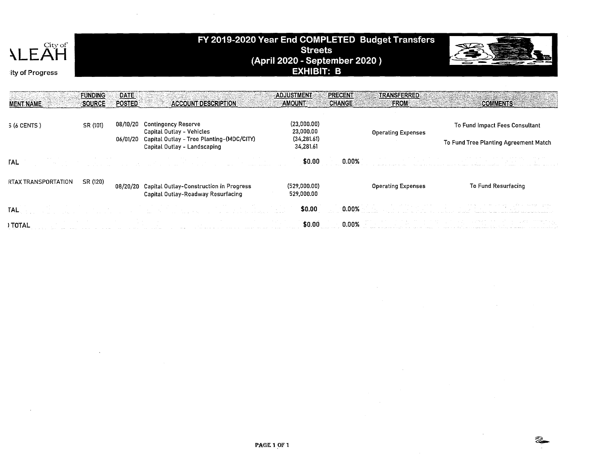

# FY 2019-2020 Year End COMPLETED Budget Transfers **Streets**  $(April 2020 - September 2020)$ <br>EXHIBIT: B



|                     | <b>FUNDING</b><br>∶SOURCE∛ | DATE:<br><b>POSTED</b> | <b>ACCOUNT DESCRIPTION</b>                                                             | ADJUSTMENT<br><b>AMOUNT</b> | PRECENT<br><b>CHANGE</b> | <b>TRANSFERRED</b><br>FROM | <b>COMMENTS</b>                       |
|---------------------|----------------------------|------------------------|----------------------------------------------------------------------------------------|-----------------------------|--------------------------|----------------------------|---------------------------------------|
| <b>MENT NAME</b>    |                            |                        |                                                                                        |                             |                          |                            |                                       |
| 5 (6 CENTS)         | SR (101)                   | 08/10/20               | <b>Contingency Reserve</b><br>Capital Outlay - Vehicles                                | (23,000.00)<br>23,000.00    |                          | <b>Operating Expenses</b>  | To Fund Impact Fees Consultant        |
|                     |                            | 06/01/20               | Capital Outlay - Tree Planting-(MDC/CITY)<br>Capital Outlay - Landscaping              | (34, 281.61)<br>34,281.61   |                          |                            | To Fund Tree Planting Agreement Match |
| <b>TAL</b>          |                            |                        |                                                                                        | \$0.00                      | 0.00%                    |                            |                                       |
| RTAX TRANSPORTATION | SR (120)                   |                        | 08/20/20 Capital Outlay-Construction in Progress<br>Capital Outlay-Roadway Resurfacing | (529,000.00)<br>529,000.00  |                          | <b>Operating Expenses</b>  | <b>To Fund Resurfacing</b>            |
| <b>TAL</b>          |                            |                        |                                                                                        | \$0.00                      | $0.00\%$                 |                            |                                       |
| <b>TOTAL</b>        |                            |                        |                                                                                        | \$0.00                      |                          |                            |                                       |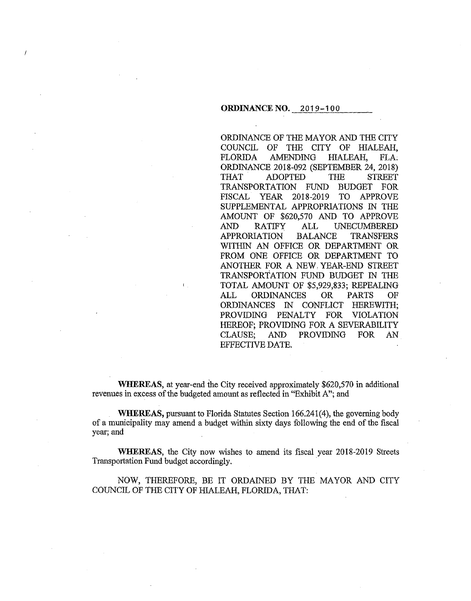#### **ORDINANCE NO.** 2019-100

ORDINANCE OF THE MAYOR AND THE CITY COUNCIL OF THE CITY OF HIALEAH, FLOR1DA AMENDING HIALEAH, FLA ORDINANCE 2018-092 (SEPTEMBER 24, 2018) THAT ADOPTED THE STREET TRANSPORTATION FUND BUDGET FOR FISCAL YEAR 2018-2019 TO APPROVE SUPPLEMENTAL APPROPRlATIONS IN THE AMOUNT OF \$620,570 AND TO APPROVE AND RATIFY ALL UNECUMBERED APPRORIATION BALANCE TRANSFERS WITHIN AN OFFICE OR DEPARTMENT OR FROM ONE OFFICE OR DEPARTMENT TO ANOTHER FOR A NEW, YEAR-END STREET TRANSPORTATION FUND BUDGET IN THE TOTAL AMOUNT OF \$5,929,833; REPEALING ALL ORDINANCES OR PARTS OF ORDINANCES IN CONFLICT HEREWITH; PROVIDING PENALTY FOR VIOLATION HEREOF; PROVIDING FOR A SEVERABILITY CLAUSE; AND PROVIDING FOR AN EFFECTIVE DATE.

**WHEREAS,** at year-end the City received approximately \$620,570 in additional revenues in excess of the budgeted amount as reflected in "Exhibit A"; and

**WHEREAS,** pursuant to Florida Statutes Section 166.241(4), the governing body of a municipality may amend a budget within sixty days following the end of the fiscal year; and

**WHEREAS,** the City now wishes to amend its fiscal year 2018-2019 Streets Transportation Fund budget accordingly. ·

NOW, THEREFORE, BE IT ORDAINED BY THE MAYOR AND CITY COUNCIL OF THE CITY OF HIALEAH, FLORIDA, THAT: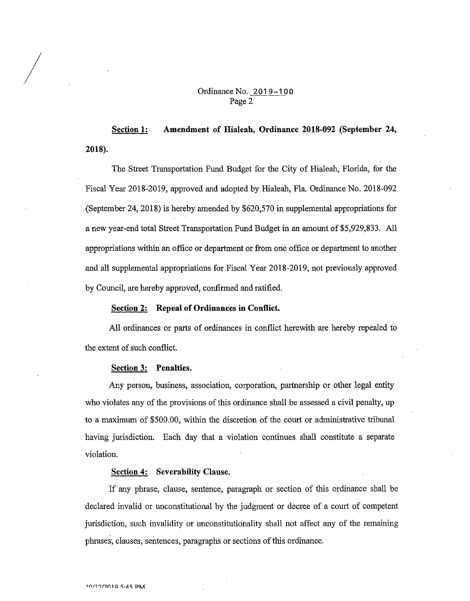## Ordinance No. 2019-100 Page 2

**2018). Section 1: Amendment of Hialeah, Ordinance 2018-092 (September 24,** 

The Street Transportation Fund Budget for the City of Hialeah, Florida, for the Fiscal Year 2018-2019, approved and adopted by Hialeah, Fla. Ordinance No. 2018-092 (September 24, 2018) is hereby amended by \$620,570 in supplemental appropriations for a new year-end total Street Transportation Fund Budget in an amount of \$5,929,833. All appropriations within an office or department or from one office or department to another and all supplemental appropriations for Fiscal Year 2018-2019, not previously approved by Council, are hereby approved, confirmed and ratified.

#### **Section 2: Repeal of Ordinances in Conflict.**

All ordinances or parts of ordinances in conflict herewith are hereby repealed to the extent of such conflict.

#### **Section 3: Penalties.**

 $\bigg\}$ 

Any person, business, association, corporation, partnership or other legal entity who violates any of the provisions of this ordinance shall be assessed a civil penalty, up to a maximum of \$500.00, within the discretion of the court or administrative tribunal having jurisdiction. Each day that a violation continues shall constitute a separate violation.

#### **Section 4: Severability Clause.**

If any phrase, clause, sentence, paragraph or section of this ordinance shall be declared invalid or unconstitutional by the judgment or decree of a court of competent jurisdiction, such invalidity or unconstitutionality shall not affect any of the remaining phrases, clauses, sentences, paragraphs or sections of this ordinance.